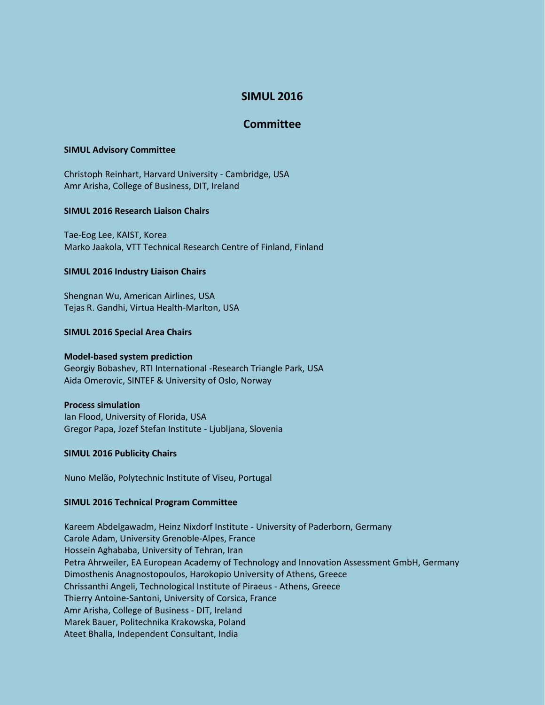# **SIMUL 2016**

## **Committee**

#### **SIMUL Advisory Committee**

Christoph Reinhart, Harvard University - Cambridge, USA Amr Arisha, College of Business, DIT, Ireland

### **SIMUL 2016 Research Liaison Chairs**

Tae-Eog Lee, KAIST, Korea Marko Jaakola, VTT Technical Research Centre of Finland, Finland

### **SIMUL 2016 Industry Liaison Chairs**

Shengnan Wu, American Airlines, USA Tejas R. Gandhi, Virtua Health-Marlton, USA

### **SIMUL 2016 Special Area Chairs**

#### **Model-based system prediction**

Georgiy Bobashev, RTI International -Research Triangle Park, USA Aida Omerovic, SINTEF & University of Oslo, Norway

#### **Process simulation**

Ian Flood, University of Florida, USA Gregor Papa, Jozef Stefan Institute - Ljubljana, Slovenia

## **SIMUL 2016 Publicity Chairs**

Nuno Melão, Polytechnic Institute of Viseu, Portugal

## **SIMUL 2016 Technical Program Committee**

Kareem Abdelgawadm, Heinz Nixdorf Institute - University of Paderborn, Germany Carole Adam, University Grenoble-Alpes, France Hossein Aghababa, University of Tehran, Iran Petra Ahrweiler, EA European Academy of Technology and Innovation Assessment GmbH, Germany Dimosthenis Anagnostopoulos, Harokopio University of Athens, Greece Chrissanthi Angeli, Technological Institute of Piraeus - Athens, Greece Thierry Antoine-Santoni, University of Corsica, France Amr Arisha, College of Business - DIT, Ireland Marek Bauer, Politechnika Krakowska, Poland Ateet Bhalla, Independent Consultant, India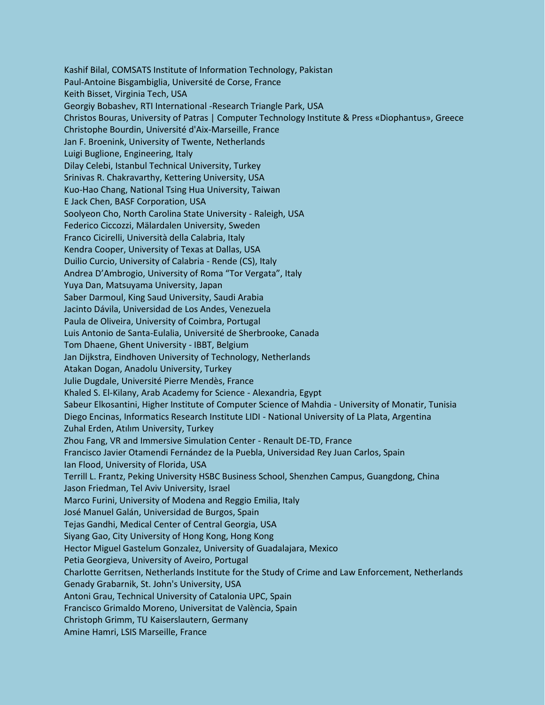Kashif Bilal, COMSATS Institute of Information Technology, Pakistan Paul-Antoine Bisgambiglia, Université de Corse, France Keith Bisset, Virginia Tech, USA Georgiy Bobashev, RTI International -Research Triangle Park, USA Christos Bouras, University of Patras | Computer Technology Institute & Press «Diophantus», Greece Christophe Bourdin, Université d'Aix-Marseille, France Jan F. Broenink, University of Twente, Netherlands Luigi Buglione, Engineering, Italy Dilay Celebi, Istanbul Technical University, Turkey Srinivas R. Chakravarthy, Kettering University, USA Kuo-Hao Chang, National Tsing Hua University, Taiwan E Jack Chen, BASF Corporation, USA Soolyeon Cho, North Carolina State University - Raleigh, USA Federico Ciccozzi, Mälardalen University, Sweden Franco Cicirelli, Università della Calabria, Italy Kendra Cooper, University of Texas at Dallas, USA Duilio Curcio, University of Calabria - Rende (CS), Italy Andrea D'Ambrogio, University of Roma "Tor Vergata", Italy Yuya Dan, Matsuyama University, Japan Saber Darmoul, King Saud University, Saudi Arabia Jacinto Dávila, Universidad de Los Andes, Venezuela Paula de Oliveira, University of Coimbra, Portugal Luis Antonio de Santa-Eulalia, Université de Sherbrooke, Canada Tom Dhaene, Ghent University - IBBT, Belgium Jan Dijkstra, Eindhoven University of Technology, Netherlands Atakan Dogan, Anadolu University, Turkey Julie Dugdale, Université Pierre Mendès, France Khaled S. El-Kilany, Arab Academy for Science - Alexandria, Egypt Sabeur Elkosantini, Higher Institute of Computer Science of Mahdia - University of Monatir, Tunisia Diego Encinas, Informatics Research Institute LIDI - National University of La Plata, Argentina Zuhal Erden, Atılım University, Turkey Zhou Fang, VR and Immersive Simulation Center - Renault DE-TD, France Francisco Javier Otamendi Fernández de la Puebla, Universidad Rey Juan Carlos, Spain Ian Flood, University of Florida, USA Terrill L. Frantz, Peking University HSBC Business School, Shenzhen Campus, Guangdong, China Jason Friedman, Tel Aviv University, Israel Marco Furini, University of Modena and Reggio Emilia, Italy José Manuel Galán, Universidad de Burgos, Spain Tejas Gandhi, Medical Center of Central Georgia, USA Siyang Gao, City University of Hong Kong, Hong Kong Hector Miguel Gastelum Gonzalez, University of Guadalajara, Mexico Petia Georgieva, University of Aveiro, Portugal Charlotte Gerritsen, Netherlands Institute for the Study of Crime and Law Enforcement, Netherlands Genady Grabarnik, St. John's University, USA Antoni Grau, Technical University of Catalonia UPC, Spain Francisco Grimaldo Moreno, Universitat de València, Spain Christoph Grimm, TU Kaiserslautern, Germany Amine Hamri, LSIS Marseille, France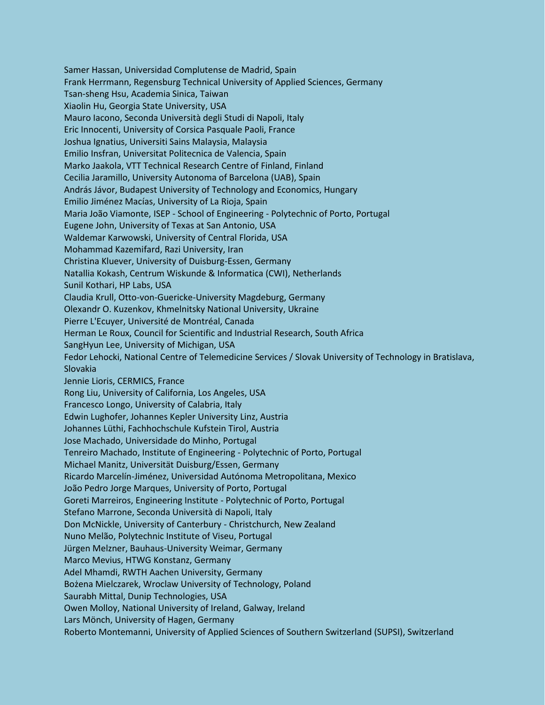Samer Hassan, Universidad Complutense de Madrid, Spain Frank Herrmann, Regensburg Technical University of Applied Sciences, Germany Tsan-sheng Hsu, Academia Sinica, Taiwan Xiaolin Hu, Georgia State University, USA Mauro Iacono, Seconda Università degli Studi di Napoli, Italy Eric Innocenti, University of Corsica Pasquale Paoli, France Joshua Ignatius, Universiti Sains Malaysia, Malaysia Emilio Insfran, Universitat Politecnica de Valencia, Spain Marko Jaakola, VTT Technical Research Centre of Finland, Finland Cecilia Jaramillo, University Autonoma of Barcelona (UAB), Spain András Jávor, Budapest University of Technology and Economics, Hungary Emilio Jiménez Macías, University of La Rioja, Spain Maria João Viamonte, ISEP - School of Engineering - Polytechnic of Porto, Portugal Eugene John, University of Texas at San Antonio, USA Waldemar Karwowski, University of Central Florida, USA Mohammad Kazemifard, Razi University, Iran Christina Kluever, University of Duisburg-Essen, Germany Natallia Kokash, Centrum Wiskunde & Informatica (CWI), Netherlands Sunil Kothari, HP Labs, USA Claudia Krull, Otto-von-Guericke-University Magdeburg, Germany Olexandr O. Kuzenkov, Khmelnitsky National University, Ukraine Pierre L'Ecuyer, Université de Montréal, Canada Herman Le Roux, Council for Scientific and Industrial Research, South Africa SangHyun Lee, University of Michigan, USA Fedor Lehocki, National Centre of Telemedicine Services / Slovak University of Technology in Bratislava, Slovakia Jennie Lioris, CERMICS, France Rong Liu, University of California, Los Angeles, USA Francesco Longo, University of Calabria, Italy Edwin Lughofer, Johannes Kepler University Linz, Austria Johannes Lüthi, Fachhochschule Kufstein Tirol, Austria Jose Machado, Universidade do Minho, Portugal Tenreiro Machado, Institute of Engineering - Polytechnic of Porto, Portugal Michael Manitz, Universität Duisburg/Essen, Germany Ricardo Marcelín-Jiménez, Universidad Autónoma Metropolitana, Mexico João Pedro Jorge Marques, University of Porto, Portugal Goreti Marreiros, Engineering Institute - Polytechnic of Porto, Portugal Stefano Marrone, Seconda Università di Napoli, Italy Don McNickle, University of Canterbury - Christchurch, New Zealand Nuno Melão, Polytechnic Institute of Viseu, Portugal Jürgen Melzner, Bauhaus-University Weimar, Germany Marco Mevius, HTWG Konstanz, Germany Adel Mhamdi, RWTH Aachen University, Germany Bożena Mielczarek, Wroclaw University of Technology, Poland Saurabh Mittal, Dunip Technologies, USA Owen Molloy, National University of Ireland, Galway, Ireland Lars Mönch, University of Hagen, Germany Roberto Montemanni, University of Applied Sciences of Southern Switzerland (SUPSI), Switzerland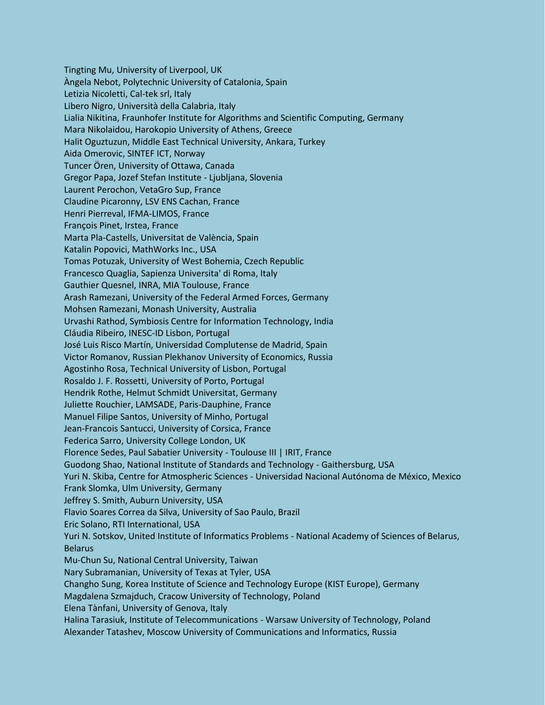Tingting Mu, University of Liverpool, UK Àngela Nebot, Polytechnic University of Catalonia, Spain Letizia Nicoletti, Cal-tek srl, Italy Libero Nigro, Università della Calabria, Italy Lialia Nikitina, Fraunhofer Institute for Algorithms and Scientific Computing, Germany Mara Nikolaidou, Harokopio University of Athens, Greece Halit Oguztuzun, Middle East Technical University, Ankara, Turkey Aida Omerovic, SINTEF ICT, Norway Tuncer Ören, University of Ottawa, Canada Gregor Papa, Jozef Stefan Institute - Ljubljana, Slovenia Laurent Perochon, VetaGro Sup, France Claudine Picaronny, LSV ENS Cachan, France Henri Pierreval, IFMA-LIMOS, France François Pinet, Irstea, France Marta Pla-Castells, Universitat de València, Spain Katalin Popovici, MathWorks Inc., USA Tomas Potuzak, University of West Bohemia, Czech Republic Francesco Quaglia, Sapienza Universita' di Roma, Italy Gauthier Quesnel, INRA, MIA Toulouse, France Arash Ramezani, University of the Federal Armed Forces, Germany Mohsen Ramezani, Monash University, Australia Urvashi Rathod, Symbiosis Centre for Information Technology, India Cláudia Ribeiro, INESC-ID Lisbon, Portugal José Luis Risco Martín, Universidad Complutense de Madrid, Spain Victor Romanov, Russian Plekhanov University of Economics, Russia Agostinho Rosa, Technical University of Lisbon, Portugal Rosaldo J. F. Rossetti, University of Porto, Portugal Hendrik Rothe, Helmut Schmidt Universitat, Germany Juliette Rouchier, LAMSADE, Paris-Dauphine, France Manuel Filipe Santos, University of Minho, Portugal Jean-Francois Santucci, University of Corsica, France Federica Sarro, University College London, UK Florence Sedes, Paul Sabatier University - Toulouse III | IRIT, France Guodong Shao, National Institute of Standards and Technology - Gaithersburg, USA Yuri N. Skiba, Centre for Atmospheric Sciences - Universidad Nacional Autónoma de México, Mexico Frank Slomka, Ulm University, Germany Jeffrey S. Smith, Auburn University, USA Flavio Soares Correa da Silva, University of Sao Paulo, Brazil Eric Solano, RTI International, USA Yuri N. Sotskov, United Institute of Informatics Problems - National Academy of Sciences of Belarus, Belarus Mu-Chun Su, National Central University, Taiwan Nary Subramanian, University of Texas at Tyler, USA Changho Sung, Korea Institute of Science and Technology Europe (KIST Europe), Germany Magdalena Szmajduch, Cracow University of Technology, Poland Elena Tànfani, University of Genova, Italy Halina Tarasiuk, Institute of Telecommunications - Warsaw University of Technology, Poland Alexander Tatashev, Moscow University of Communications and Informatics, Russia